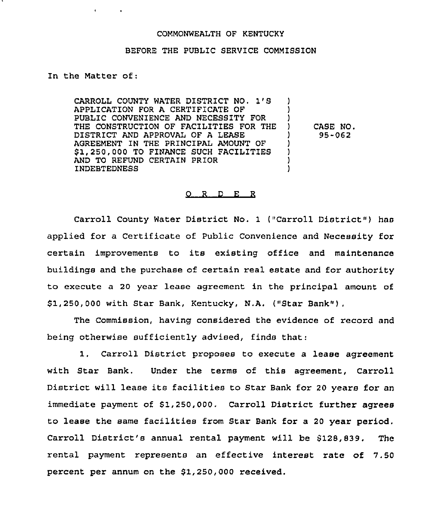## COMMONWEALTH OF KENTUCKY

## BEFORE THE PUBLIC SERVICE COMMISSION

## In the Matter of:

 $\mathbf{q} = \mathbf{q} \times \mathbf{q}$  , where  $\mathbf{q}$ 

CARROLL COUNTY WATER DISTRICT NO. 1'S APPLICATION FOR A CERTIFICATE OF PUBLIC CONVENIENCE AND NECESSITY FOR THE CONSTRUCTION OF FACILITIES FOR THE DISTRICT AND APPROVAL OF A LEASE AGREEMENT IN THE PRINCIPAL AMOUNT OF \$1,250,000 TO FINANCE SUCH FACILITIES AND TO REFUND CERTAIN PRIOR INDEBTEDNESS ) ) ) ) CASE NO. ) 95-062 ) ) ) )

## 0 R. <sup>D</sup> E R

Carroll County Water District No. 1 ("Carroll District") has applied for a Certificate of Public Convenience and Necessity for certain improvements to its existing office and maintenance buildings and the purchase of certain real estate and for authority to execute a 20 year lease agreement in the principal amount of \$ 1,250,000 with Star Bank, Kentucky, N.A. {"Star Bank"}.

The Commission, having considered the evidence of record and being otherwise sufficiently advised, finds that:

1. Carroll District proposes to execute <sup>a</sup> lease agreement with Star Bank. Under the terms of this agreement, Carroll District will lease its facilities to Star Bank for <sup>20</sup> years for an immediate payment of 51,250,000, Carroll District further agrees to lease the same facilities from Star Bank for <sup>a</sup> <sup>20</sup> year period. Carroll District's annual rental payment will be 5128,939. The rental payment represents an effective interest rate of 7.50 percent per annum on the 51,250,000 received.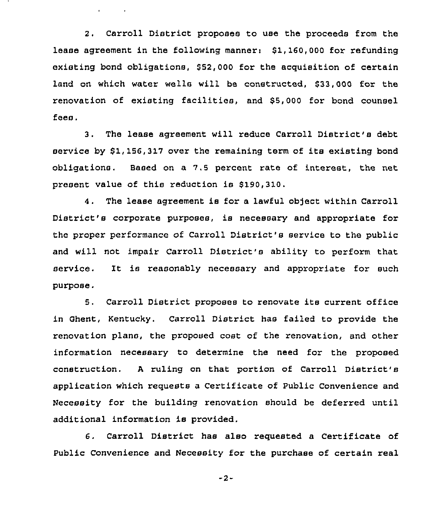2. Carroll District proposes to use the proceeds from the lease agreement in the following manner: \$1,160,000 for refunding existing bond obligations, 852,000 for the acquisition of certain land on which water wells will be constructed, \$33,000 for the renovation of existing facilities, and \$5,000 for bond counsel fees.

 $\mathbf{r} = \mathbf{r} \times \mathbf{r}$  .

3. The lease agreement will reduce Carroll District's debt service by \$1,156,317 over the remaining term of its existing bond obligations. Based on a 7.5 percent rate of interest, the net present value of this reduction is \$190,310.

4. The lease agreement is for a lawful object within Carroll District's corporate purposes, is necessary and appropriate for the proper performance of Carroll District's service to the public and will not impair Carroll District's ability to perform that service. It is reasonably necessary and appropriate for such purpose.

5. Carroll District proposes to renovate its current office in Ghent, Kentucky, Carroll District has failed to provide the renovation plans, the proposed cost of the renovation, and other information necessary to determine the need for the proposed construction. <sup>A</sup> ruling on that portion of Carroll District'8 application which requests a Certificate of Public Convenience and Necessity for the building renovation should be deferred until additional information is provided.

6, Carroll District has also requested a Certificate of Public Convenience and Necessity for the purchase of certain real

-2-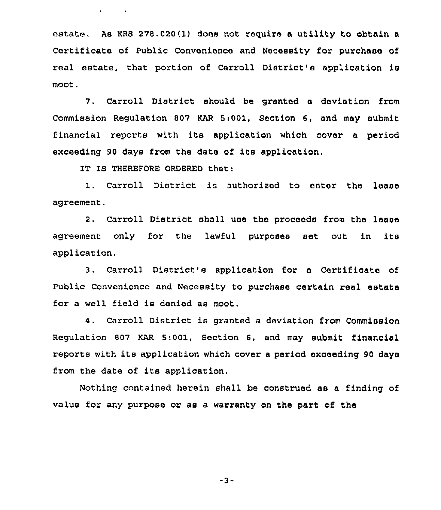estate, As KRS 278.020(1) does not require a utility to obtain a Certificate of Public Convenience and Necessity for purchase of real estate, that portion of Carroll District's application is moot.

7. Carroll District should be granted a deviation from Commission Regulation 807 KAR 5:001, Section 6, and may submit financial reports with its application which cover a period exceeding <sup>90</sup> days from the date of its application.

IT IS THEREFORE ORDERED that:

 $\mathbf{v} = \mathbf{v} \times \mathbf{v}$  .  $\mathbf{v} = \mathbf{v} \times \mathbf{v}$ 

Carroll District is authorized to enter the lease agreement.

2. Carroll District shall use the proceeds from the lease agreement only for the lawful purposes set out in its application.

3. Carroll District's application for a Certificate of Public Convenience and Necessity to purchase certain real estate for a well field is denied as moot.

4. Carroll District is granted <sup>a</sup> deviation from Commission Regulation 807 KAR 5:001, Section 6, and may submit financial reports with its application which cover <sup>a</sup> period exceeding <sup>90</sup> days from the date of its application.

Nothing contained herein shall be construed as a finding of value for any purpose or as a warranty on the part of the

"3-